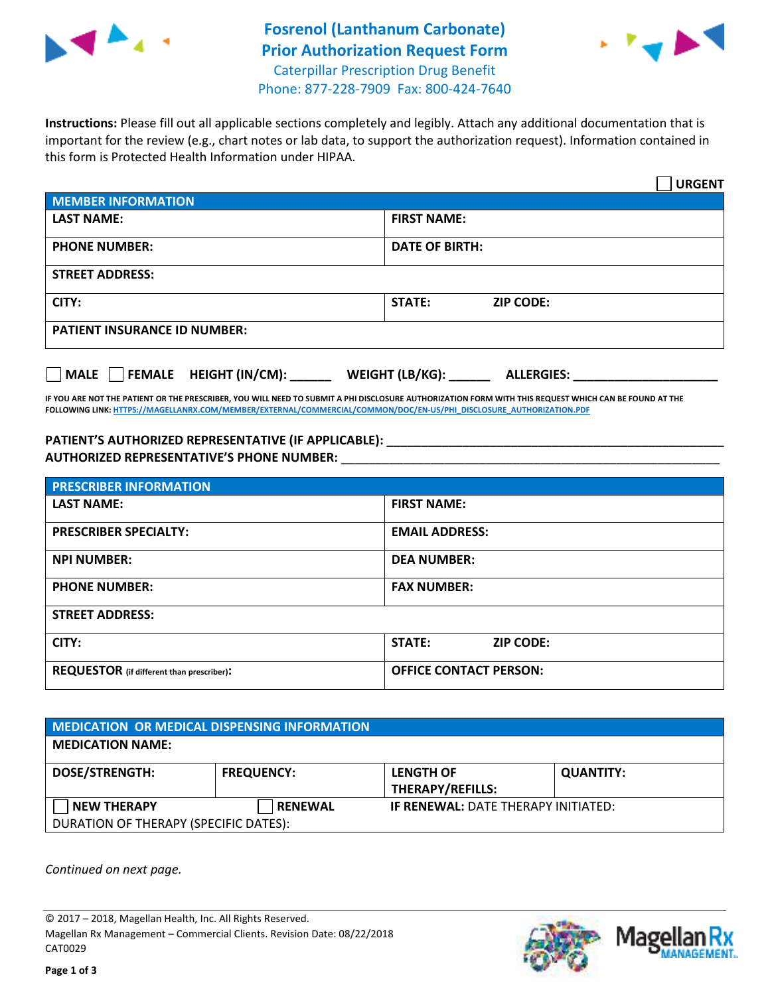



**Instructions:** Please fill out all applicable sections completely and legibly. Attach any additional documentation that is important for the review (e.g., chart notes or lab data, to support the authorization request). Information contained in this form is Protected Health Information under HIPAA.

|                                        | <b>URGENT</b>                        |
|----------------------------------------|--------------------------------------|
| <b>MEMBER INFORMATION</b>              |                                      |
| <b>LAST NAME:</b>                      | <b>FIRST NAME:</b>                   |
| <b>PHONE NUMBER:</b>                   | <b>DATE OF BIRTH:</b>                |
| <b>STREET ADDRESS:</b>                 |                                      |
| CITY:                                  | <b>ZIP CODE:</b><br><b>STATE:</b>    |
| <b>PATIENT INSURANCE ID NUMBER:</b>    |                                      |
| FEMALE HEIGHT (IN/CM):<br>$\vert$ MALE | WEIGHT (LB/KG):<br><b>ALLERGIES:</b> |

**IF YOU ARE NOT THE PATIENT OR THE PRESCRIBER, YOU WILL NEED TO SUBMIT A PHI DISCLOSURE AUTHORIZATION FORM WITH THIS REQUEST WHICH CAN BE FOUND AT THE FOLLOWING LINK: HTTPS://MAGELLANRX.COM/MEMBER/EXTERNAL/COMMERCIAL/COMMON/DOC/EN-US/PHI\_DISCLOSURE\_AUTHORIZATION.PDF**

**PATIENT'S AUTHORIZED REPRESENTATIVE (IF APPLICABLE): \_\_\_\_\_\_\_\_\_\_\_\_\_\_\_\_\_\_\_\_\_\_\_\_\_\_\_\_\_\_\_\_\_\_\_\_\_\_\_\_\_\_\_\_\_\_\_\_\_ AUTHORIZED REPRESENTATIVE'S PHONE NUMBER:** \_\_\_\_\_\_\_\_\_\_\_\_\_\_\_\_\_\_\_\_\_\_\_\_\_\_\_\_\_\_\_\_\_\_\_\_\_\_\_\_\_\_\_\_\_\_\_\_\_\_\_\_\_\_\_

| <b>PRESCRIBER INFORMATION</b>             |                               |  |  |  |
|-------------------------------------------|-------------------------------|--|--|--|
| <b>LAST NAME:</b>                         | <b>FIRST NAME:</b>            |  |  |  |
| <b>PRESCRIBER SPECIALTY:</b>              | <b>EMAIL ADDRESS:</b>         |  |  |  |
| <b>NPI NUMBER:</b>                        | <b>DEA NUMBER:</b>            |  |  |  |
| <b>PHONE NUMBER:</b>                      | <b>FAX NUMBER:</b>            |  |  |  |
| <b>STREET ADDRESS:</b>                    |                               |  |  |  |
| CITY:                                     | STATE:<br><b>ZIP CODE:</b>    |  |  |  |
| REQUESTOR (if different than prescriber): | <b>OFFICE CONTACT PERSON:</b> |  |  |  |

| <b>MEDICATION OR MEDICAL DISPENSING INFORMATION</b> |                   |                                            |                  |  |
|-----------------------------------------------------|-------------------|--------------------------------------------|------------------|--|
| <b>MEDICATION NAME:</b>                             |                   |                                            |                  |  |
| <b>DOSE/STRENGTH:</b>                               | <b>FREQUENCY:</b> | <b>LENGTH OF</b>                           | <b>QUANTITY:</b> |  |
|                                                     |                   | <b>THERAPY/REFILLS:</b>                    |                  |  |
| <b>NEW THERAPY</b>                                  | <b>RENEWAL</b>    | <b>IF RENEWAL: DATE THERAPY INITIATED:</b> |                  |  |
| DURATION OF THERAPY (SPECIFIC DATES):               |                   |                                            |                  |  |

*Continued on next page.* 

© 2017 – 2018, Magellan Health, Inc. All Rights Reserved. Magellan Rx Management – Commercial Clients. Revision Date: 08/22/2018 CAT0029



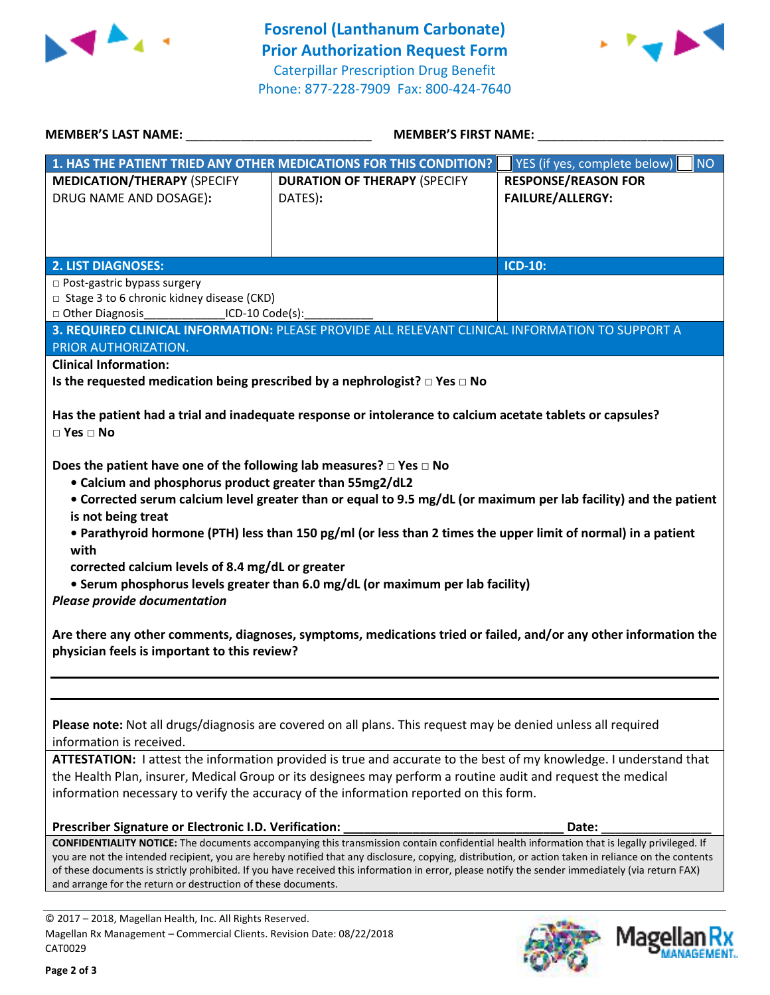



| <b>MEMBER'S LAST NAME:</b>                                                                                                                                                                                                                                                                                                                | MEMBER'S FIRST NAME:                                                                                                                                                                                                                                                                                                                                                                                                                                                                                                                                  |                                                       |  |
|-------------------------------------------------------------------------------------------------------------------------------------------------------------------------------------------------------------------------------------------------------------------------------------------------------------------------------------------|-------------------------------------------------------------------------------------------------------------------------------------------------------------------------------------------------------------------------------------------------------------------------------------------------------------------------------------------------------------------------------------------------------------------------------------------------------------------------------------------------------------------------------------------------------|-------------------------------------------------------|--|
|                                                                                                                                                                                                                                                                                                                                           | 1. HAS THE PATIENT TRIED ANY OTHER MEDICATIONS FOR THIS CONDITION?                                                                                                                                                                                                                                                                                                                                                                                                                                                                                    | YES (if yes, complete below)<br>NO                    |  |
| <b>MEDICATION/THERAPY (SPECIFY</b><br>DRUG NAME AND DOSAGE):                                                                                                                                                                                                                                                                              | <b>DURATION OF THERAPY (SPECIFY</b><br>DATES):                                                                                                                                                                                                                                                                                                                                                                                                                                                                                                        | <b>RESPONSE/REASON FOR</b><br><b>FAILURE/ALLERGY:</b> |  |
| <b>2. LIST DIAGNOSES:</b>                                                                                                                                                                                                                                                                                                                 |                                                                                                                                                                                                                                                                                                                                                                                                                                                                                                                                                       | ICD-10:                                               |  |
| □ Post-gastric bypass surgery<br>□ Stage 3 to 6 chronic kidney disease (CKD)<br>□ Other Diagnosis_________________ICD-10 Code(s):_<br>PRIOR AUTHORIZATION.<br><b>Clinical Information:</b>                                                                                                                                                | 3. REQUIRED CLINICAL INFORMATION: PLEASE PROVIDE ALL RELEVANT CLINICAL INFORMATION TO SUPPORT A                                                                                                                                                                                                                                                                                                                                                                                                                                                       |                                                       |  |
|                                                                                                                                                                                                                                                                                                                                           | Is the requested medication being prescribed by a nephrologist? $\Box$ Yes $\Box$ No                                                                                                                                                                                                                                                                                                                                                                                                                                                                  |                                                       |  |
| $\Box$ Yes $\Box$ No<br>Does the patient have one of the following lab measures? $\Box$ Yes $\Box$ No<br>• Calcium and phosphorus product greater than 55mg2/dL2<br>is not being treat<br>with<br>corrected calcium levels of 8.4 mg/dL or greater<br><b>Please provide documentation</b><br>physician feels is important to this review? | Has the patient had a trial and inadequate response or intolerance to calcium acetate tablets or capsules?<br>• Corrected serum calcium level greater than or equal to 9.5 mg/dL (or maximum per lab facility) and the patient<br>• Parathyroid hormone (PTH) less than 150 pg/ml (or less than 2 times the upper limit of normal) in a patient<br>• Serum phosphorus levels greater than 6.0 mg/dL (or maximum per lab facility)<br>Are there any other comments, diagnoses, symptoms, medications tried or failed, and/or any other information the |                                                       |  |
|                                                                                                                                                                                                                                                                                                                                           | Please note: Not all drugs/diagnosis are covered on all plans. This request may be denied unless all required                                                                                                                                                                                                                                                                                                                                                                                                                                         |                                                       |  |
| information is received.                                                                                                                                                                                                                                                                                                                  |                                                                                                                                                                                                                                                                                                                                                                                                                                                                                                                                                       |                                                       |  |
|                                                                                                                                                                                                                                                                                                                                           | ATTESTATION: I attest the information provided is true and accurate to the best of my knowledge. I understand that<br>the Health Plan, insurer, Medical Group or its designees may perform a routine audit and request the medical<br>information necessary to verify the accuracy of the information reported on this form.                                                                                                                                                                                                                          |                                                       |  |
| Prescriber Signature or Electronic I.D. Verification:                                                                                                                                                                                                                                                                                     |                                                                                                                                                                                                                                                                                                                                                                                                                                                                                                                                                       | Date:                                                 |  |
| CONFIDENTIALITY NOTICE: The documents accompanying this transmission contain confidential health information that is legally privileged. If                                                                                                                                                                                               |                                                                                                                                                                                                                                                                                                                                                                                                                                                                                                                                                       |                                                       |  |
| and arrange for the return or destruction of these documents.                                                                                                                                                                                                                                                                             | you are not the intended recipient, you are hereby notified that any disclosure, copying, distribution, or action taken in reliance on the contents<br>of these documents is strictly prohibited. If you have received this information in error, please notify the sender immediately (via return FAX)                                                                                                                                                                                                                                               |                                                       |  |

Magellan Rx Management – Commercial Clients. Revision Date: 08/22/2018



Mag

I**an Rx**<br>VAGEMENT.